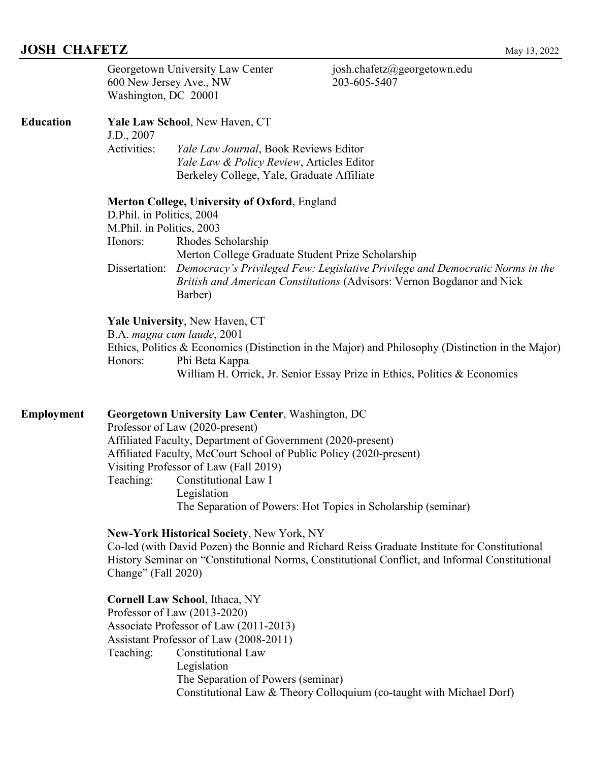# **JOSH CHAFETZ** May 13, 2022

|                  | 600 New Jersey Ave., NW<br>Washington, DC 20001                                                                                                                                                                                                                                                                                                                                               | Georgetown University Law Center                                                                                                                                                                                        | josh.chafetz@georgetown.edu<br>203-605-5407 |  |
|------------------|-----------------------------------------------------------------------------------------------------------------------------------------------------------------------------------------------------------------------------------------------------------------------------------------------------------------------------------------------------------------------------------------------|-------------------------------------------------------------------------------------------------------------------------------------------------------------------------------------------------------------------------|---------------------------------------------|--|
| <b>Education</b> | Yale Law School, New Haven, CT                                                                                                                                                                                                                                                                                                                                                                |                                                                                                                                                                                                                         |                                             |  |
|                  | J.D., 2007<br>Activities:                                                                                                                                                                                                                                                                                                                                                                     | Yale Law Journal, Book Reviews Editor<br>Yale Law & Policy Review, Articles Editor<br>Berkeley College, Yale, Graduate Affiliate                                                                                        |                                             |  |
|                  | Merton College, University of Oxford, England<br>D.Phil. in Politics, 2004<br>M.Phil. in Politics, 2003<br>Honors:<br>Rhodes Scholarship                                                                                                                                                                                                                                                      |                                                                                                                                                                                                                         |                                             |  |
|                  | Dissertation:                                                                                                                                                                                                                                                                                                                                                                                 | Merton College Graduate Student Prize Scholarship<br>Democracy's Privileged Few: Legislative Privilege and Democratic Norms in the<br>British and American Constitutions (Advisors: Vernon Bogdanor and Nick<br>Barber) |                                             |  |
|                  | Yale University, New Haven, CT<br>B.A. magna cum laude, 2001<br>Ethics, Politics & Economics (Distinction in the Major) and Philosophy (Distinction in the Major)<br>Honors:<br>Phi Beta Kappa<br>William H. Orrick, Jr. Senior Essay Prize in Ethics, Politics & Economics                                                                                                                   |                                                                                                                                                                                                                         |                                             |  |
| Employment       | <b>Georgetown University Law Center, Washington, DC</b><br>Professor of Law (2020-present)<br>Affiliated Faculty, Department of Government (2020-present)<br>Affiliated Faculty, McCourt School of Public Policy (2020-present)<br>Visiting Professor of Law (Fall 2019)<br>Constitutional Law I<br>Teaching:<br>Legislation<br>The Separation of Powers: Hot Topics in Scholarship (seminar) |                                                                                                                                                                                                                         |                                             |  |
|                  | New-York Historical Society, New York, NY<br>Co-led (with David Pozen) the Bonnie and Richard Reiss Graduate Institute for Constitutional<br>History Seminar on "Constitutional Norms, Constitutional Conflict, and Informal Constitutional<br>Change" (Fall 2020)                                                                                                                            |                                                                                                                                                                                                                         |                                             |  |
|                  | Cornell Law School, Ithaca, NY<br>Professor of Law (2013-2020)<br>Associate Professor of Law (2011-2013)<br>Assistant Professor of Law (2008-2011)<br><b>Constitutional Law</b><br>Teaching:<br>Legislation<br>The Separation of Powers (seminar)<br>Constitutional Law & Theory Colloquium (co-taught with Michael Dorf)                                                                     |                                                                                                                                                                                                                         |                                             |  |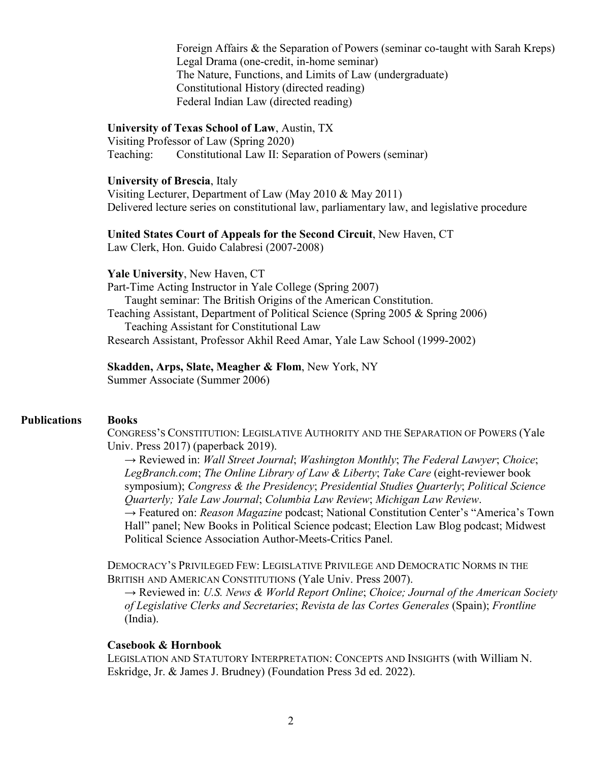Foreign Affairs & the Separation of Powers (seminar co-taught with Sarah Kreps) Legal Drama (one-credit, in-home seminar) The Nature, Functions, and Limits of Law (undergraduate) Constitutional History (directed reading) Federal Indian Law (directed reading)

## **University of Texas School of Law**, Austin, TX

Visiting Professor of Law (Spring 2020) Teaching: Constitutional Law II: Separation of Powers (seminar)

## **University of Brescia**, Italy

Visiting Lecturer, Department of Law (May 2010 & May 2011) Delivered lecture series on constitutional law, parliamentary law, and legislative procedure

## **United States Court of Appeals for the Second Circuit**, New Haven, CT

Law Clerk, Hon. Guido Calabresi (2007-2008)

#### **Yale University**, New Haven, CT

Part-Time Acting Instructor in Yale College (Spring 2007) Taught seminar: The British Origins of the American Constitution. Teaching Assistant, Department of Political Science (Spring 2005 & Spring 2006) Teaching Assistant for Constitutional Law Research Assistant, Professor Akhil Reed Amar, Yale Law School (1999-2002)

## **Skadden, Arps, Slate, Meagher & Flom**, New York, NY Summer Associate (Summer 2006)

## **Publications Books**

CONGRESS'S CONSTITUTION: LEGISLATIVE AUTHORITY AND THE SEPARATION OF POWERS (Yale Univ. Press 2017) (paperback 2019).

→ Reviewed in: *Wall Street Journal*; *Washington Monthly*; *The Federal Lawyer*; *Choice*; *LegBranch.com*; *The Online Library of Law & Liberty*; *Take Care* (eight-reviewer book symposium); *Congress & the Presidency*; *Presidential Studies Quarterly*; *Political Science Quarterly; Yale Law Journal*; *Columbia Law Review*; *Michigan Law Review*.

→ Featured on: *Reason Magazine* podcast; National Constitution Center's "America's Town Hall" panel; New Books in Political Science podcast; Election Law Blog podcast; Midwest Political Science Association Author-Meets-Critics Panel.

DEMOCRACY'S PRIVILEGED FEW: LEGISLATIVE PRIVILEGE AND DEMOCRATIC NORMS IN THE BRITISH AND AMERICAN CONSTITUTIONS (Yale Univ. Press 2007).

→ Reviewed in: *U.S. News & World Report Online*; *Choice; Journal of the American Society of Legislative Clerks and Secretaries*; *Revista de las Cortes Generales* (Spain); *Frontline* (India).

## **Casebook & Hornbook**

LEGISLATION AND STATUTORY INTERPRETATION: CONCEPTS AND INSIGHTS (with William N. Eskridge, Jr. & James J. Brudney) (Foundation Press 3d ed. 2022).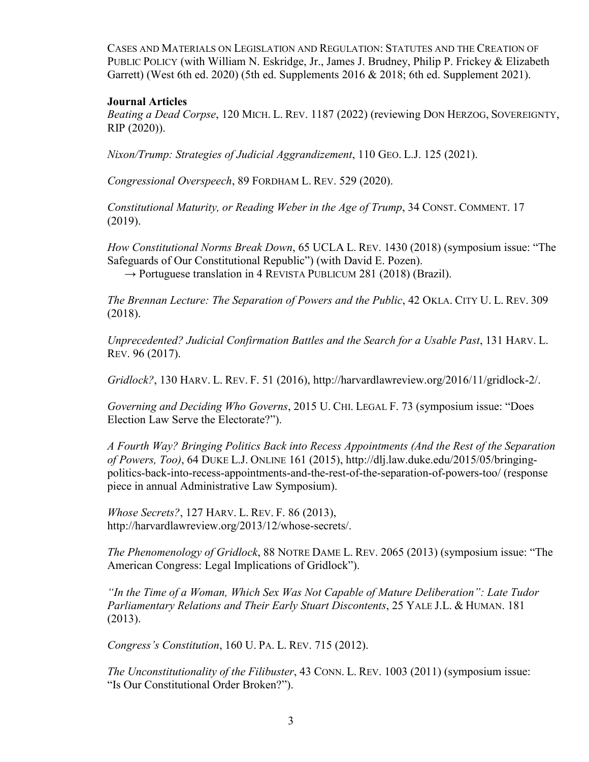CASES AND MATERIALS ON LEGISLATION AND REGULATION: STATUTES AND THE CREATION OF PUBLIC POLICY (with William N. Eskridge, Jr., James J. Brudney, Philip P. Frickey & Elizabeth Garrett) (West 6th ed. 2020) (5th ed. Supplements 2016 & 2018; 6th ed. Supplement 2021).

## **Journal Articles**

*Beating a Dead Corpse*, 120 MICH. L. REV. 1187 (2022) (reviewing DON HERZOG, SOVEREIGNTY, RIP (2020)).

*Nixon/Trump: Strategies of Judicial Aggrandizement*, 110 GEO. L.J. 125 (2021).

*Congressional Overspeech*, 89 FORDHAM L. REV. 529 (2020).

*Constitutional Maturity, or Reading Weber in the Age of Trump*, 34 CONST. COMMENT. 17 (2019).

*How Constitutional Norms Break Down*, 65 UCLA L. REV. 1430 (2018) (symposium issue: "The Safeguards of Our Constitutional Republic") (with David E. Pozen).

 $\rightarrow$  Portuguese translation in 4 REVISTA PUBLICUM 281 (2018) (Brazil).

*The Brennan Lecture: The Separation of Powers and the Public, 42 OKLA. CITY U. L. REV. 309* (2018).

*Unprecedented? Judicial Confirmation Battles and the Search for a Usable Past*, 131 HARV. L. REV. 96 (2017).

*Gridlock?*, 130 HARV. L. REV. F. 51 (2016), http://harvardlawreview.org/2016/11/gridlock-2/.

*Governing and Deciding Who Governs*, 2015 U. CHI. LEGAL F. 73 (symposium issue: "Does Election Law Serve the Electorate?").

*A Fourth Way? Bringing Politics Back into Recess Appointments (And the Rest of the Separation of Powers, Too)*, 64 DUKE L.J. ONLINE 161 (2015), http://dlj.law.duke.edu/2015/05/bringingpolitics-back-into-recess-appointments-and-the-rest-of-the-separation-of-powers-too/ (response piece in annual Administrative Law Symposium).

*Whose Secrets?*, 127 HARV. L. REV. F. 86 (2013), http://harvardlawreview.org/2013/12/whose-secrets/.

 *The Phenomenology of Gridlock*, 88 NOTRE DAME L. REV. 2065 (2013) (symposium issue: "The American Congress: Legal Implications of Gridlock").

 *"In the Time of a Woman, Which Sex Was Not Capable of Mature Deliberation": Late Tudor Parliamentary Relations and Their Early Stuart Discontents*, 25 YALE J.L. & HUMAN. 181 (2013).

*Congress's Constitution*, 160 U. PA. L. REV. 715 (2012).

*The Unconstitutionality of the Filibuster*, 43 CONN. L. REV. 1003 (2011) (symposium issue: "Is Our Constitutional Order Broken?").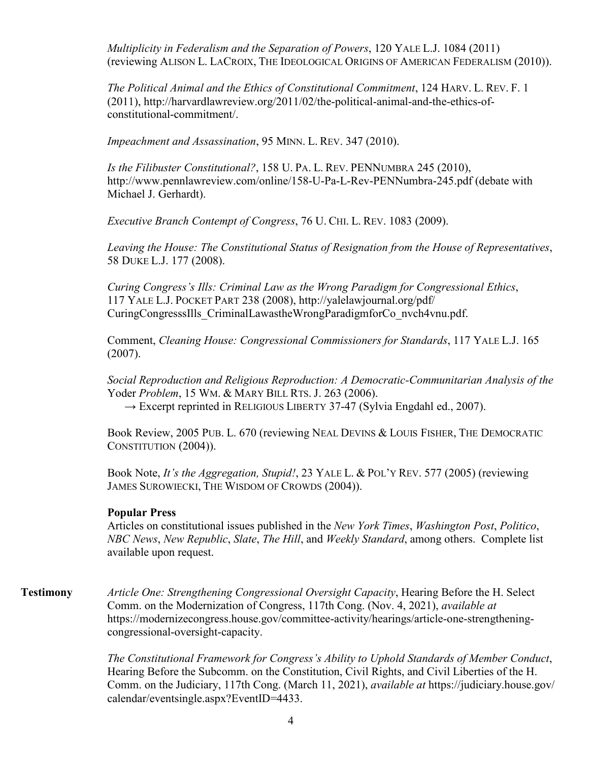*Multiplicity in Federalism and the Separation of Powers*, 120 YALE L.J. 1084 (2011) (reviewing ALISON L. LACROIX, THE IDEOLOGICAL ORIGINS OF AMERICAN FEDERALISM (2010)).

*The Political Animal and the Ethics of Constitutional Commitment*, 124 HARV. L. REV. F. 1 (2011), http://harvardlawreview.org/2011/02/the-political-animal-and-the-ethics-of constitutional-commitment/.

 *Impeachment and Assassination*, 95 MINN. L. REV. 347 (2010).

*Is the Filibuster Constitutional?*, 158 U. PA. L. REV. PENNUMBRA 245 (2010), http://www.pennlawreview.com/online/158-U-Pa-L-Rev-PENNumbra-245.pdf (debate with Michael J. Gerhardt).

 *Executive Branch Contempt of Congress*, 76 U. CHI. L. REV. 1083 (2009).

 *Leaving the House: The Constitutional Status of Resignation from the House of Representatives*, 58 DUKE L.J. 177 (2008).

*Curing Congress's Ills: Criminal Law as the Wrong Paradigm for Congressional Ethics*, 117 YALE L.J. POCKET PART 238 (2008), http://yalelawjournal.org/pdf/ CuringCongresssIlls\_CriminalLawastheWrongParadigmforCo\_nvch4vnu.pdf.

 Comment, *Cleaning House: Congressional Commissioners for Standards*, 117 YALE L.J. 165 (2007).

 *Social Reproduction and Religious Reproduction: A Democratic-Communitarian Analysis of the*  Yoder *Problem*, 15 WM. & MARY BILL RTS. J. 263 (2006).

 $\rightarrow$  Excerpt reprinted in RELIGIOUS LIBERTY 37-47 (Sylvia Engdahl ed., 2007).

 Book Review, 2005 PUB. L. 670 (reviewing NEAL DEVINS & LOUIS FISHER, THE DEMOCRATIC CONSTITUTION (2004)).

 Book Note, *It's the Aggregation, Stupid!*, 23 YALE L. & POL'Y REV. 577 (2005) (reviewing JAMES SUROWIECKI, THE WISDOM OF CROWDS (2004)).

#### **Popular Press**

Articles on constitutional issues published in the *New York Times*, *Washington Post*, *Politico*, *NBC News*, *New Republic*, *Slate*, *The Hill*, and *Weekly Standard*, among others. Complete list available upon request.

**Testimony** *Article One: Strengthening Congressional Oversight Capacity*, Hearing Before the H. Select Comm. on the Modernization of Congress, 117th Cong. (Nov. 4, 2021), *available at* https://modernizecongress.house.gov/committee-activity/hearings/article-one-strengtheningcongressional-oversight-capacity.

> *The Constitutional Framework for Congress's Ability to Uphold Standards of Member Conduct*, Hearing Before the Subcomm. on the Constitution, Civil Rights, and Civil Liberties of the H. Comm. on the Judiciary, 117th Cong. (March 11, 2021), *available at* https://judiciary.house.gov/ calendar/eventsingle.aspx?EventID=4433.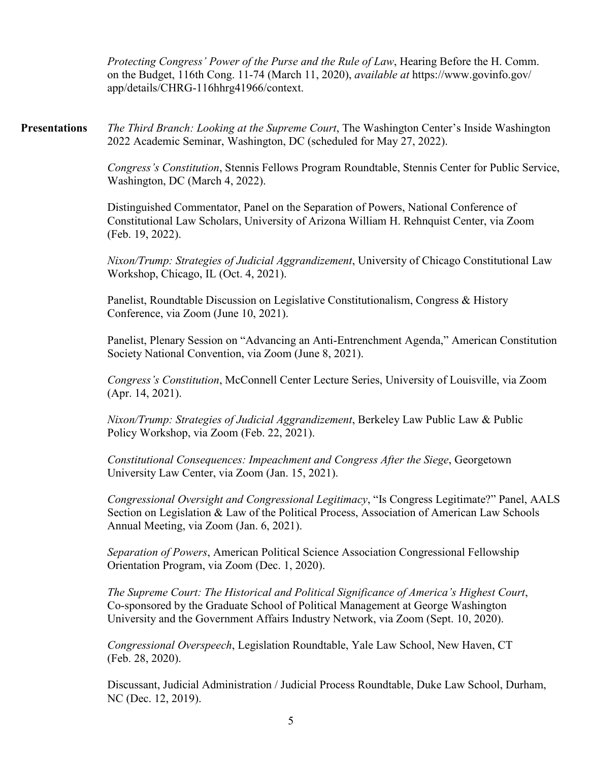*Protecting Congress' Power of the Purse and the Rule of Law*, Hearing Before the H. Comm. on the Budget, 116th Cong. 11-74 (March 11, 2020), *available at* https://www.govinfo.gov/ app/details/CHRG-116hhrg41966/context.

**Presentations** *The Third Branch: Looking at the Supreme Court*, The Washington Center's Inside Washington 2022 Academic Seminar, Washington, DC (scheduled for May 27, 2022).

> *Congress's Constitution*, Stennis Fellows Program Roundtable, Stennis Center for Public Service, Washington, DC (March 4, 2022).

Distinguished Commentator, Panel on the Separation of Powers, National Conference of Constitutional Law Scholars, University of Arizona William H. Rehnquist Center, via Zoom (Feb. 19, 2022).

*Nixon/Trump: Strategies of Judicial Aggrandizement*, University of Chicago Constitutional Law Workshop, Chicago, IL (Oct. 4, 2021).

Panelist, Roundtable Discussion on Legislative Constitutionalism, Congress & History Conference, via Zoom (June 10, 2021).

Panelist, Plenary Session on "Advancing an Anti-Entrenchment Agenda," American Constitution Society National Convention, via Zoom (June 8, 2021).

*Congress's Constitution*, McConnell Center Lecture Series, University of Louisville, via Zoom (Apr. 14, 2021).

*Nixon/Trump: Strategies of Judicial Aggrandizement*, Berkeley Law Public Law & Public Policy Workshop, via Zoom (Feb. 22, 2021).

*Constitutional Consequences: Impeachment and Congress After the Siege*, Georgetown University Law Center, via Zoom (Jan. 15, 2021).

*Congressional Oversight and Congressional Legitimacy*, "Is Congress Legitimate?" Panel, AALS Section on Legislation & Law of the Political Process, Association of American Law Schools Annual Meeting, via Zoom (Jan. 6, 2021).

*Separation of Powers*, American Political Science Association Congressional Fellowship Orientation Program, via Zoom (Dec. 1, 2020).

*The Supreme Court: The Historical and Political Significance of America's Highest Court*, Co-sponsored by the Graduate School of Political Management at George Washington University and the Government Affairs Industry Network, via Zoom (Sept. 10, 2020).

*Congressional Overspeech*, Legislation Roundtable, Yale Law School, New Haven, CT (Feb. 28, 2020).

Discussant, Judicial Administration / Judicial Process Roundtable, Duke Law School, Durham, NC (Dec. 12, 2019).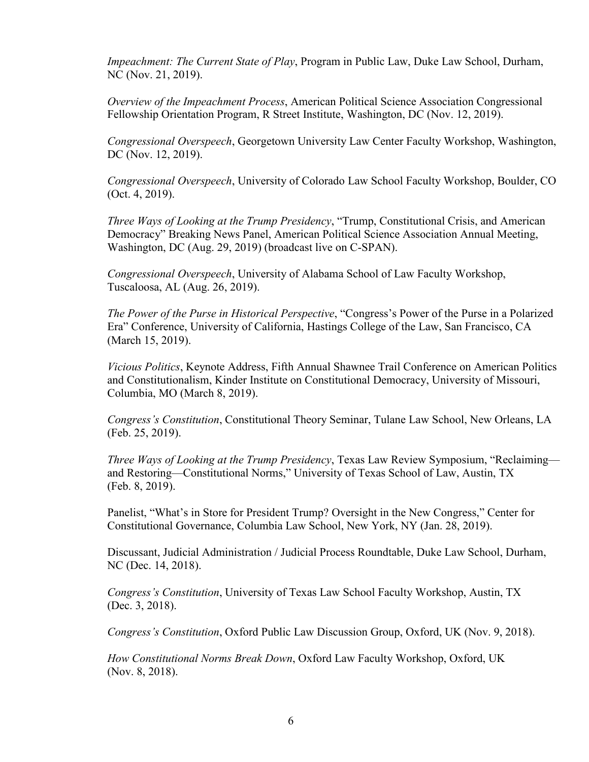*Impeachment: The Current State of Play*, Program in Public Law, Duke Law School, Durham, NC (Nov. 21, 2019).

*Overview of the Impeachment Process*, American Political Science Association Congressional Fellowship Orientation Program, R Street Institute, Washington, DC (Nov. 12, 2019).

*Congressional Overspeech*, Georgetown University Law Center Faculty Workshop, Washington, DC (Nov. 12, 2019).

*Congressional Overspeech*, University of Colorado Law School Faculty Workshop, Boulder, CO (Oct. 4, 2019).

*Three Ways of Looking at the Trump Presidency*, "Trump, Constitutional Crisis, and American Democracy" Breaking News Panel, American Political Science Association Annual Meeting, Washington, DC (Aug. 29, 2019) (broadcast live on C-SPAN).

*Congressional Overspeech*, University of Alabama School of Law Faculty Workshop, Tuscaloosa, AL (Aug. 26, 2019).

*The Power of the Purse in Historical Perspective*, "Congress's Power of the Purse in a Polarized Era" Conference, University of California, Hastings College of the Law, San Francisco, CA (March 15, 2019).

*Vicious Politics*, Keynote Address, Fifth Annual Shawnee Trail Conference on American Politics and Constitutionalism, Kinder Institute on Constitutional Democracy, University of Missouri, Columbia, MO (March 8, 2019).

*Congress's Constitution*, Constitutional Theory Seminar, Tulane Law School, New Orleans, LA (Feb. 25, 2019).

*Three Ways of Looking at the Trump Presidency*, Texas Law Review Symposium, "Reclaiming and Restoring—Constitutional Norms," University of Texas School of Law, Austin, TX (Feb. 8, 2019).

Panelist, "What's in Store for President Trump? Oversight in the New Congress," Center for Constitutional Governance, Columbia Law School, New York, NY (Jan. 28, 2019).

Discussant, Judicial Administration / Judicial Process Roundtable, Duke Law School, Durham, NC (Dec. 14, 2018).

*Congress's Constitution*, University of Texas Law School Faculty Workshop, Austin, TX (Dec. 3, 2018).

*Congress's Constitution*, Oxford Public Law Discussion Group, Oxford, UK (Nov. 9, 2018).

*How Constitutional Norms Break Down*, Oxford Law Faculty Workshop, Oxford, UK (Nov. 8, 2018).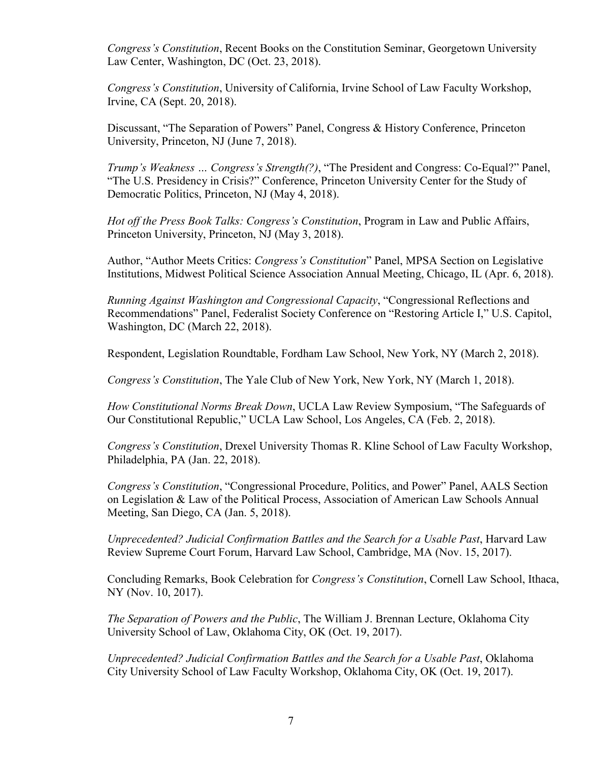*Congress's Constitution*, Recent Books on the Constitution Seminar, Georgetown University Law Center, Washington, DC (Oct. 23, 2018).

*Congress's Constitution*, University of California, Irvine School of Law Faculty Workshop, Irvine, CA (Sept. 20, 2018).

Discussant, "The Separation of Powers" Panel, Congress & History Conference, Princeton University, Princeton, NJ (June 7, 2018).

*Trump's Weakness … Congress's Strength(?)*, "The President and Congress: Co-Equal?" Panel, "The U.S. Presidency in Crisis?" Conference, Princeton University Center for the Study of Democratic Politics, Princeton, NJ (May 4, 2018).

*Hot off the Press Book Talks: Congress's Constitution*, Program in Law and Public Affairs, Princeton University, Princeton, NJ (May 3, 2018).

Author, "Author Meets Critics: *Congress's Constitution*" Panel, MPSA Section on Legislative Institutions, Midwest Political Science Association Annual Meeting, Chicago, IL (Apr. 6, 2018).

*Running Against Washington and Congressional Capacity*, "Congressional Reflections and Recommendations" Panel, Federalist Society Conference on "Restoring Article I," U.S. Capitol, Washington, DC (March 22, 2018).

Respondent, Legislation Roundtable, Fordham Law School, New York, NY (March 2, 2018).

*Congress's Constitution*, The Yale Club of New York, New York, NY (March 1, 2018).

*How Constitutional Norms Break Down*, UCLA Law Review Symposium, "The Safeguards of Our Constitutional Republic," UCLA Law School, Los Angeles, CA (Feb. 2, 2018).

*Congress's Constitution*, Drexel University Thomas R. Kline School of Law Faculty Workshop, Philadelphia, PA (Jan. 22, 2018).

*Congress's Constitution*, "Congressional Procedure, Politics, and Power" Panel, AALS Section on Legislation & Law of the Political Process, Association of American Law Schools Annual Meeting, San Diego, CA (Jan. 5, 2018).

*Unprecedented? Judicial Confirmation Battles and the Search for a Usable Past*, Harvard Law Review Supreme Court Forum, Harvard Law School, Cambridge, MA (Nov. 15, 2017).

Concluding Remarks, Book Celebration for *Congress's Constitution*, Cornell Law School, Ithaca, NY (Nov. 10, 2017).

*The Separation of Powers and the Public*, The William J. Brennan Lecture, Oklahoma City University School of Law, Oklahoma City, OK (Oct. 19, 2017).

*Unprecedented? Judicial Confirmation Battles and the Search for a Usable Past*, Oklahoma City University School of Law Faculty Workshop, Oklahoma City, OK (Oct. 19, 2017).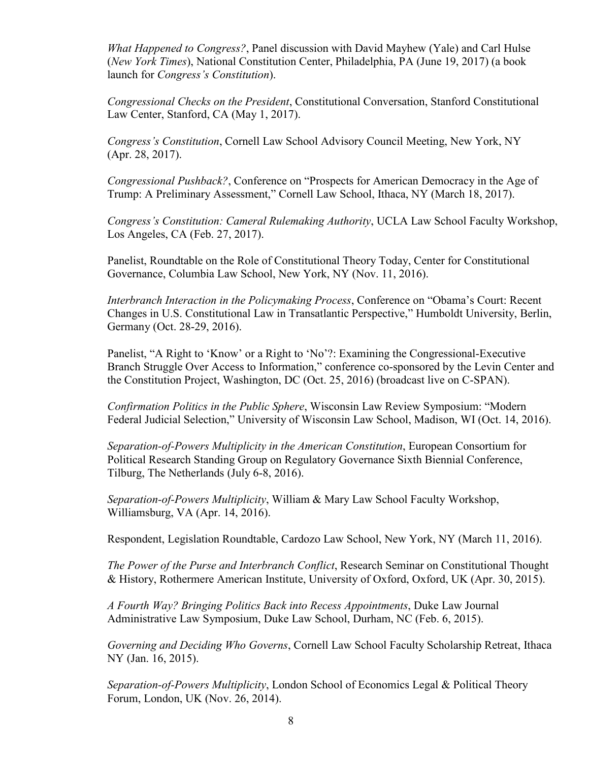*What Happened to Congress?*, Panel discussion with David Mayhew (Yale) and Carl Hulse (*New York Times*), National Constitution Center, Philadelphia, PA (June 19, 2017) (a book launch for *Congress's Constitution*).

*Congressional Checks on the President*, Constitutional Conversation, Stanford Constitutional Law Center, Stanford, CA (May 1, 2017).

*Congress's Constitution*, Cornell Law School Advisory Council Meeting, New York, NY (Apr. 28, 2017).

*Congressional Pushback?*, Conference on "Prospects for American Democracy in the Age of Trump: A Preliminary Assessment," Cornell Law School, Ithaca, NY (March 18, 2017).

*Congress's Constitution: Cameral Rulemaking Authority*, UCLA Law School Faculty Workshop, Los Angeles, CA (Feb. 27, 2017).

Panelist, Roundtable on the Role of Constitutional Theory Today, Center for Constitutional Governance, Columbia Law School, New York, NY (Nov. 11, 2016).

*Interbranch Interaction in the Policymaking Process*, Conference on "Obama's Court: Recent Changes in U.S. Constitutional Law in Transatlantic Perspective," Humboldt University, Berlin, Germany (Oct. 28-29, 2016).

Panelist, "A Right to 'Know' or a Right to 'No'?: Examining the Congressional-Executive Branch Struggle Over Access to Information," conference co-sponsored by the Levin Center and the Constitution Project, Washington, DC (Oct. 25, 2016) (broadcast live on C-SPAN).

*Confirmation Politics in the Public Sphere*, Wisconsin Law Review Symposium: "Modern Federal Judicial Selection," University of Wisconsin Law School, Madison, WI (Oct. 14, 2016).

*Separation-of-Powers Multiplicity in the American Constitution*, European Consortium for Political Research Standing Group on Regulatory Governance Sixth Biennial Conference, Tilburg, The Netherlands (July 6-8, 2016).

*Separation-of-Powers Multiplicity*, William & Mary Law School Faculty Workshop, Williamsburg, VA (Apr. 14, 2016).

Respondent, Legislation Roundtable, Cardozo Law School, New York, NY (March 11, 2016).

*The Power of the Purse and Interbranch Conflict*, Research Seminar on Constitutional Thought & History, Rothermere American Institute, University of Oxford, Oxford, UK (Apr. 30, 2015).

*A Fourth Way? Bringing Politics Back into Recess Appointments*, Duke Law Journal Administrative Law Symposium, Duke Law School, Durham, NC (Feb. 6, 2015).

*Governing and Deciding Who Governs*, Cornell Law School Faculty Scholarship Retreat, Ithaca NY (Jan. 16, 2015).

*Separation-of-Powers Multiplicity*, London School of Economics Legal & Political Theory Forum, London, UK (Nov. 26, 2014).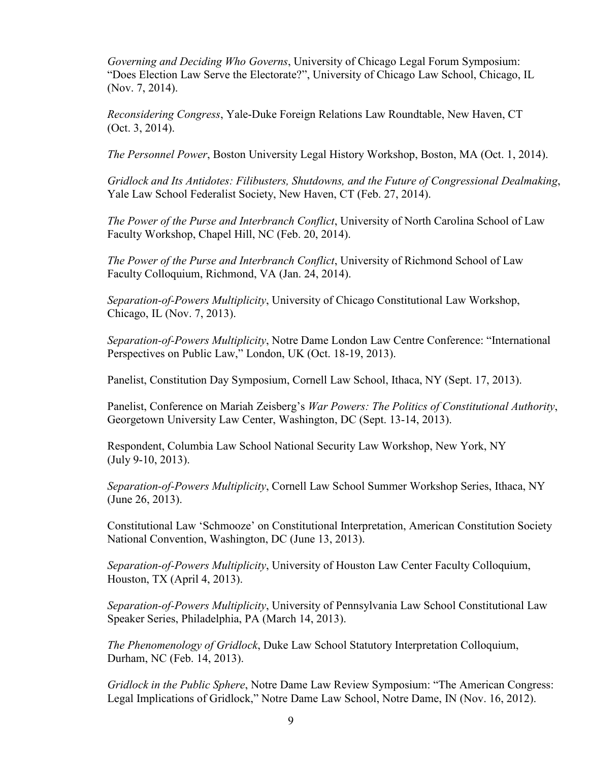*Governing and Deciding Who Governs*, University of Chicago Legal Forum Symposium: "Does Election Law Serve the Electorate?", University of Chicago Law School, Chicago, IL (Nov. 7, 2014).

*Reconsidering Congress*, Yale-Duke Foreign Relations Law Roundtable, New Haven, CT (Oct. 3, 2014).

*The Personnel Power*, Boston University Legal History Workshop, Boston, MA (Oct. 1, 2014).

*Gridlock and Its Antidotes: Filibusters, Shutdowns, and the Future of Congressional Dealmaking*, Yale Law School Federalist Society, New Haven, CT (Feb. 27, 2014).

*The Power of the Purse and Interbranch Conflict*, University of North Carolina School of Law Faculty Workshop, Chapel Hill, NC (Feb. 20, 2014).

*The Power of the Purse and Interbranch Conflict*, University of Richmond School of Law Faculty Colloquium, Richmond, VA (Jan. 24, 2014).

*Separation-of-Powers Multiplicity*, University of Chicago Constitutional Law Workshop, Chicago, IL (Nov. 7, 2013).

*Separation-of-Powers Multiplicity*, Notre Dame London Law Centre Conference: "International Perspectives on Public Law," London, UK (Oct. 18-19, 2013).

Panelist, Constitution Day Symposium, Cornell Law School, Ithaca, NY (Sept. 17, 2013).

Panelist, Conference on Mariah Zeisberg's *War Powers: The Politics of Constitutional Authority*, Georgetown University Law Center, Washington, DC (Sept. 13-14, 2013).

Respondent, Columbia Law School National Security Law Workshop, New York, NY (July 9-10, 2013).

*Separation-of-Powers Multiplicity*, Cornell Law School Summer Workshop Series, Ithaca, NY (June 26, 2013).

Constitutional Law 'Schmooze' on Constitutional Interpretation, American Constitution Society National Convention, Washington, DC (June 13, 2013).

*Separation-of-Powers Multiplicity*, University of Houston Law Center Faculty Colloquium, Houston, TX (April 4, 2013).

*Separation-of-Powers Multiplicity*, University of Pennsylvania Law School Constitutional Law Speaker Series, Philadelphia, PA (March 14, 2013).

*The Phenomenology of Gridlock*, Duke Law School Statutory Interpretation Colloquium, Durham, NC (Feb. 14, 2013).

*Gridlock in the Public Sphere*, Notre Dame Law Review Symposium: "The American Congress: Legal Implications of Gridlock," Notre Dame Law School, Notre Dame, IN (Nov. 16, 2012).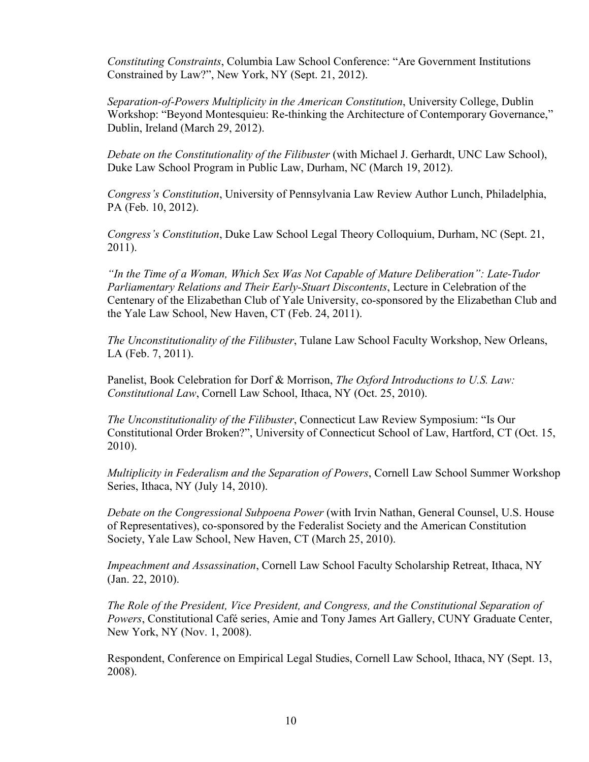*Constituting Constraints*, Columbia Law School Conference: "Are Government Institutions Constrained by Law?", New York, NY (Sept. 21, 2012).

*Separation-of-Powers Multiplicity in the American Constitution*, University College, Dublin Workshop: "Beyond Montesquieu: Re-thinking the Architecture of Contemporary Governance," Dublin, Ireland (March 29, 2012).

*Debate on the Constitutionality of the Filibuster* (with Michael J. Gerhardt, UNC Law School), Duke Law School Program in Public Law, Durham, NC (March 19, 2012).

*Congress's Constitution*, University of Pennsylvania Law Review Author Lunch, Philadelphia, PA (Feb. 10, 2012).

*Congress's Constitution*, Duke Law School Legal Theory Colloquium, Durham, NC (Sept. 21, 2011).

*"In the Time of a Woman, Which Sex Was Not Capable of Mature Deliberation": Late-Tudor Parliamentary Relations and Their Early-Stuart Discontents*, Lecture in Celebration of the Centenary of the Elizabethan Club of Yale University, co-sponsored by the Elizabethan Club and the Yale Law School, New Haven, CT (Feb. 24, 2011).

*The Unconstitutionality of the Filibuster*, Tulane Law School Faculty Workshop, New Orleans, LA (Feb. 7, 2011).

Panelist, Book Celebration for Dorf & Morrison, *The Oxford Introductions to U.S. Law: Constitutional Law*, Cornell Law School, Ithaca, NY (Oct. 25, 2010).

*The Unconstitutionality of the Filibuster*, Connecticut Law Review Symposium: "Is Our Constitutional Order Broken?", University of Connecticut School of Law, Hartford, CT (Oct. 15, 2010).

*Multiplicity in Federalism and the Separation of Powers*, Cornell Law School Summer Workshop Series, Ithaca, NY (July 14, 2010).

*Debate on the Congressional Subpoena Power* (with Irvin Nathan, General Counsel, U.S. House of Representatives), co-sponsored by the Federalist Society and the American Constitution Society, Yale Law School, New Haven, CT (March 25, 2010).

*Impeachment and Assassination*, Cornell Law School Faculty Scholarship Retreat, Ithaca, NY (Jan. 22, 2010).

*The Role of the President, Vice President, and Congress, and the Constitutional Separation of Powers*, Constitutional Café series, Amie and Tony James Art Gallery, CUNY Graduate Center, New York, NY (Nov. 1, 2008).

Respondent, Conference on Empirical Legal Studies, Cornell Law School, Ithaca, NY (Sept. 13, 2008).